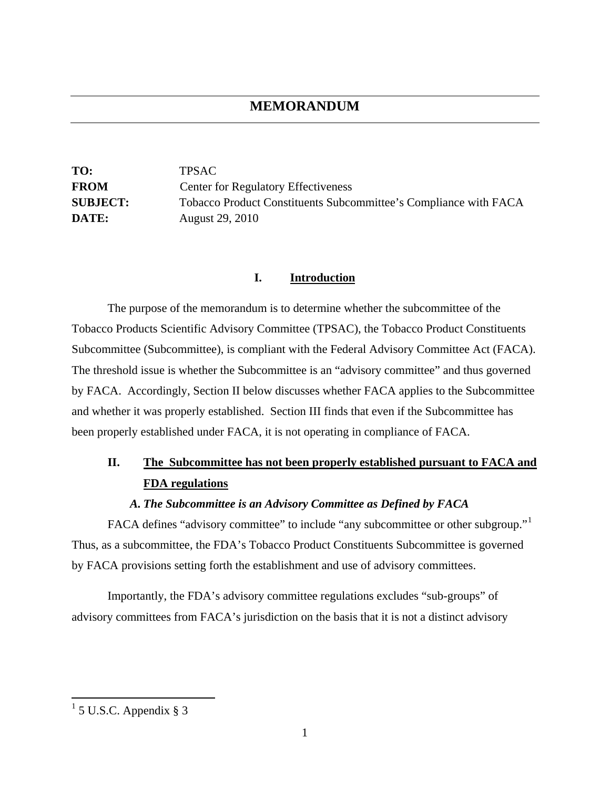## **MEMORANDUM**

**TO:** TPSAC **FROM** Center for Regulatory Effectiveness **SUBJECT:** Tobacco Product Constituents Subcommittee's Compliance with FACA **DATE:** August 29, 2010

#### **I. Introduction**

The purpose of the memorandum is to determine whether the subcommittee of the Tobacco Products Scientific Advisory Committee (TPSAC), the Tobacco Product Constituents Subcommittee (Subcommittee), is compliant with the Federal Advisory Committee Act (FACA). The threshold issue is whether the Subcommittee is an "advisory committee" and thus governed by FACA. Accordingly, Section II below discusses whether FACA applies to the Subcommittee and whether it was properly established. Section III finds that even if the Subcommittee has been properly established under FACA, it is not operating in compliance of FACA.

# **II. The Subcommittee has not been properly established pursuant to FACA and FDA regulations**

#### *A. The Subcommittee is an Advisory Committee as Defined by FACA*

FACA defines "advisory committee" to include "any subcommittee or other subgroup." Thus, as a subcommittee, the FDA's Tobacco Product Constituents Subcommittee is governed by FACA provisions setting forth the establishment and use of advisory committees.

Importantly, the FDA's advisory committee regulations excludes "sub-groups" of advisory committees from FACA's jurisdiction on the basis that it is not a distinct advisory

<span id="page-0-0"></span> $\frac{1}{1}$  5 U.S.C. Appendix § 3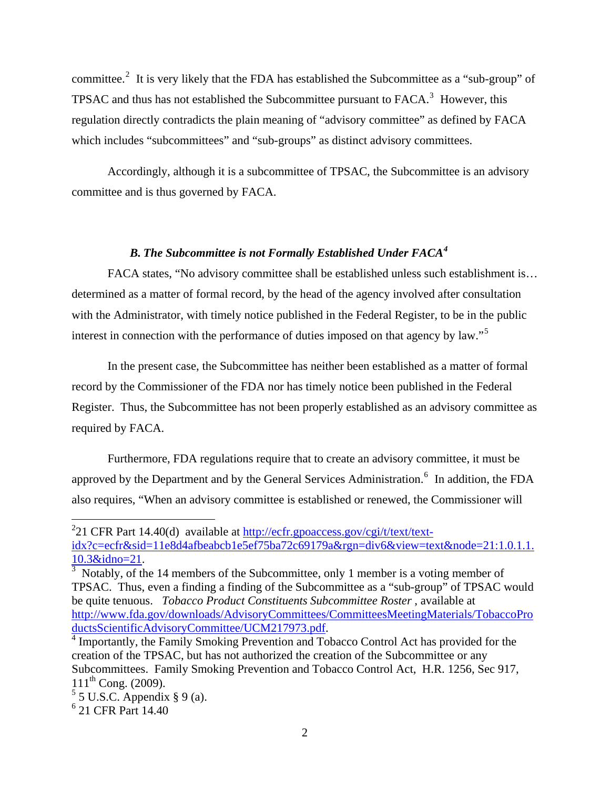committee.<sup>[2](#page-1-0)</sup> It is very likely that the FDA has established the Subcommittee as a "sub-group" of TPSAC and thus has not established the Subcommittee pursuant to  $FACA$ <sup>[3](#page-1-1)</sup>. However, this regulation directly contradicts the plain meaning of "advisory committee" as defined by FACA which includes "subcommittees" and "sub-groups" as distinct advisory committees.

Accordingly, although it is a subcommittee of TPSAC, the Subcommittee is an advisory committee and is thus governed by FACA.

### *B. The Subcommittee is not Formally Established Under FACA[4](#page-1-2)*

FACA states, "No advisory committee shall be established unless such establishment is… determined as a matter of formal record, by the head of the agency involved after consultation with the Administrator, with timely notice published in the Federal Register, to be in the public interest in connection with the performance of duties imposed on that agency by law."<sup>[5](#page-1-3)</sup>

In the present case, the Subcommittee has neither been established as a matter of formal record by the Commissioner of the FDA nor has timely notice been published in the Federal Register. Thus, the Subcommittee has not been properly established as an advisory committee as required by FACA.

Furthermore, FDA regulations require that to create an advisory committee, it must be approved by the Department and by the General Services Administration.<sup>[6](#page-1-4)</sup> In addition, the FDA also requires, "When an advisory committee is established or renewed, the Commissioner will

1

<span id="page-1-0"></span><sup>&</sup>lt;sup>2</sup>21 CFR Part 14.40(d) available at  $\frac{http://eefr.gpoaccess.gov/cgi/t/text/text/text/}$ [idx?c=ecfr&sid=11e8d4afbeabcb1e5ef75ba72c69179a&rgn=div6&view=text&node=21:1.0.1.1.](http://ecfr.gpoaccess.gov/cgi/t/text/text-idx?c=ecfr&sid=11e8d4afbeabcb1e5ef75ba72c69179a&rgn=div6&view=text&node=21:1.0.1.1.10.3&idno=21) [10.3&idno=21](http://ecfr.gpoaccess.gov/cgi/t/text/text-idx?c=ecfr&sid=11e8d4afbeabcb1e5ef75ba72c69179a&rgn=div6&view=text&node=21:1.0.1.1.10.3&idno=21). <sup>3</sup>

<span id="page-1-1"></span> $3$  Notably, of the 14 members of the Subcommittee, only 1 member is a voting member of TPSAC. Thus, even a finding a finding of the Subcommittee as a "sub-group" of TPSAC would be quite tenuous. *Tobacco Product Constituents Subcommittee Roster* , available at [http://www.fda.gov/downloads/AdvisoryCommittees/CommitteesMeetingMaterials/TobaccoPro](http://www.fda.gov/downloads/AdvisoryCommittees/CommitteesMeetingMaterials/TobaccoProductsScientificAdvisoryCommittee/UCM217973.pdf) [ductsScientificAdvisoryCommittee/UCM217973.pdf.](http://www.fda.gov/downloads/AdvisoryCommittees/CommitteesMeetingMaterials/TobaccoProductsScientificAdvisoryCommittee/UCM217973.pdf) <sup>4</sup>

<span id="page-1-2"></span><sup>&</sup>lt;sup>4</sup> Importantly, the Family Smoking Prevention and Tobacco Control Act has provided for the creation of the TPSAC, but has not authorized the creation of the Subcommittee or any Subcommittees. Family Smoking Prevention and Tobacco Control Act, H.R. 1256, Sec 917,  $111^{th}$  Cong. (2009).

<span id="page-1-3"></span> $<sup>5</sup>$  5 U.S.C. Appendix § 9 (a).</sup>

<span id="page-1-4"></span><sup>6</sup> 21 CFR Part 14.40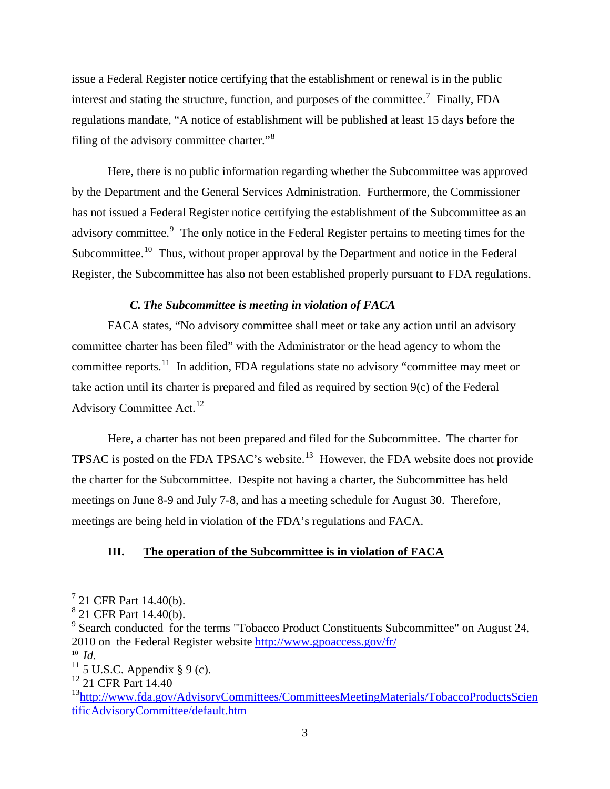issue a Federal Register notice certifying that the establishment or renewal is in the public interest and stating the structure, function, and purposes of the committee.<sup>[7](#page-2-0)</sup> Finally, FDA regulations mandate, "A notice of establishment will be published at least 15 days before the filing of the advisory committee charter."<sup>[8](#page-2-1)</sup>

Here, there is no public information regarding whether the Subcommittee was approved by the Department and the General Services Administration. Furthermore, the Commissioner has not issued a Federal Register notice certifying the establishment of the Subcommittee as an advisory committee.<sup>[9](#page-2-2)</sup> The only notice in the Federal Register pertains to meeting times for the Subcommittee.<sup>[10](#page-2-3)</sup> Thus, without proper approval by the Department and notice in the Federal Register, the Subcommittee has also not been established properly pursuant to FDA regulations.

### *C. The Subcommittee is meeting in violation of FACA*

FACA states, "No advisory committee shall meet or take any action until an advisory committee charter has been filed" with the Administrator or the head agency to whom the committee reports.<sup>[11](#page-2-4)</sup> In addition, FDA regulations state no advisory "committee may meet or take action until its charter is prepared and filed as required by section 9(c) of the Federal Advisory Committee Act.<sup>[12](#page-2-5)</sup>

Here, a charter has not been prepared and filed for the Subcommittee. The charter for TPSAC is posted on the FDA TPSAC's website.<sup>[13](#page-2-6)</sup> However, the FDA website does not provide the charter for the Subcommittee. Despite not having a charter, the Subcommittee has held meetings on June 8-9 and July 7-8, and has a meeting schedule for August 30. Therefore, meetings are being held in violation of the FDA's regulations and FACA.

### **III. The operation of the Subcommittee is in violation of FACA**

<span id="page-2-3"></span>10 *Id.*

<span id="page-2-0"></span> 7 21 CFR Part 14.40(b).

<span id="page-2-1"></span><sup>8</sup> 21 CFR Part 14.40(b).

<span id="page-2-2"></span><sup>&</sup>lt;sup>9</sup> Search conducted for the terms "Tobacco Product Constituents Subcommittee" on August 24, 2010 on the Federal Register website<http://www.gpoaccess.gov/fr/>

<span id="page-2-4"></span> $11$  5 U.S.C. Appendix § 9 (c).

<span id="page-2-5"></span><sup>&</sup>lt;sup>12</sup> 21 CFR Part 14.40

<span id="page-2-6"></span><sup>&</sup>lt;sup>13</sup>http://www.fda.gov/AdvisoryCommittees/CommitteesMeetingMaterials/TobaccoProductsScien [tificAdvisoryCommittee/default.htm](http://www.fda.gov/AdvisoryCommittees/CommitteesMeetingMaterials/TobaccoProductsScientificAdvisoryCommittee/default.htm)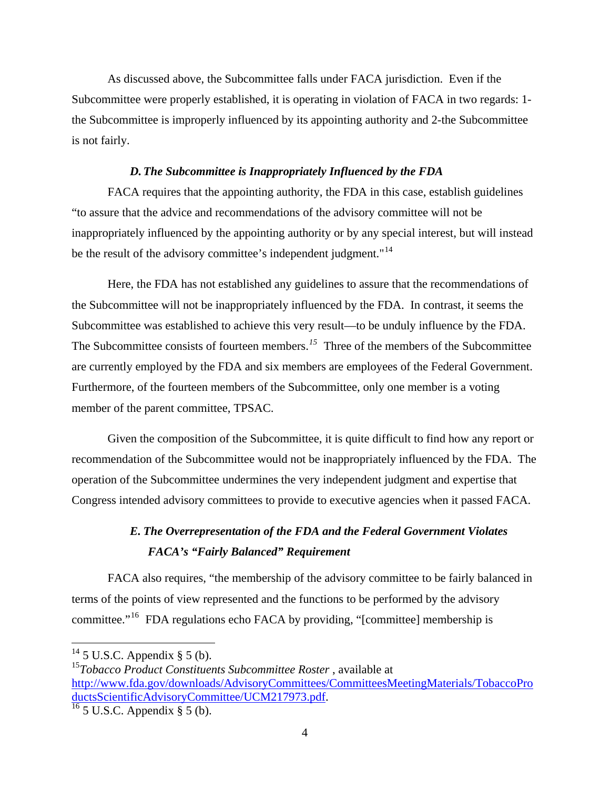As discussed above, the Subcommittee falls under FACA jurisdiction. Even if the Subcommittee were properly established, it is operating in violation of FACA in two regards: 1 the Subcommittee is improperly influenced by its appointing authority and 2-the Subcommittee is not fairly.

#### *D. The Subcommittee is Inappropriately Influenced by the FDA*

FACA requires that the appointing authority, the FDA in this case, establish guidelines "to assure that the advice and recommendations of the advisory committee will not be inappropriately influenced by the appointing authority or by any special interest, but will instead be the result of the advisory committee's independent judgment."<sup>[14](#page-3-0)</sup>

Here, the FDA has not established any guidelines to assure that the recommendations of the Subcommittee will not be inappropriately influenced by the FDA. In contrast, it seems the Subcommittee was established to achieve this very result—to be unduly influence by the FDA. The Subcommittee consists of fourteen members.<sup>[15](#page-3-1)</sup> Three of the members of the Subcommittee are currently employed by the FDA and six members are employees of the Federal Government. Furthermore, of the fourteen members of the Subcommittee, only one member is a voting member of the parent committee, TPSAC.

Given the composition of the Subcommittee, it is quite difficult to find how any report or recommendation of the Subcommittee would not be inappropriately influenced by the FDA. The operation of the Subcommittee undermines the very independent judgment and expertise that Congress intended advisory committees to provide to executive agencies when it passed FACA.

# *E. The Overrepresentation of the FDA and the Federal Government Violates FACA's "Fairly Balanced" Requirement*

FACA also requires, "the membership of the advisory committee to be fairly balanced in terms of the points of view represented and the functions to be performed by the advisory committee."[16](#page-3-2) FDA regulations echo FACA by providing, "[committee] membership is

1

<span id="page-3-0"></span> $14$  5 U.S.C. Appendix § 5 (b).

<span id="page-3-1"></span><sup>15</sup>*Tobacco Product Constituents Subcommittee Roster* , available at [http://www.fda.gov/downloads/AdvisoryCommittees/CommitteesMeetingMaterials/TobaccoPro](http://www.fda.gov/downloads/AdvisoryCommittees/CommitteesMeetingMaterials/TobaccoProductsScientificAdvisoryCommittee/UCM217973.pdf) [ductsScientificAdvisoryCommittee/UCM217973.pdf.](http://www.fda.gov/downloads/AdvisoryCommittees/CommitteesMeetingMaterials/TobaccoProductsScientificAdvisoryCommittee/UCM217973.pdf)<br><sup>16</sup> 5 U.S.C. Appendix § 5 (b).

<span id="page-3-2"></span>